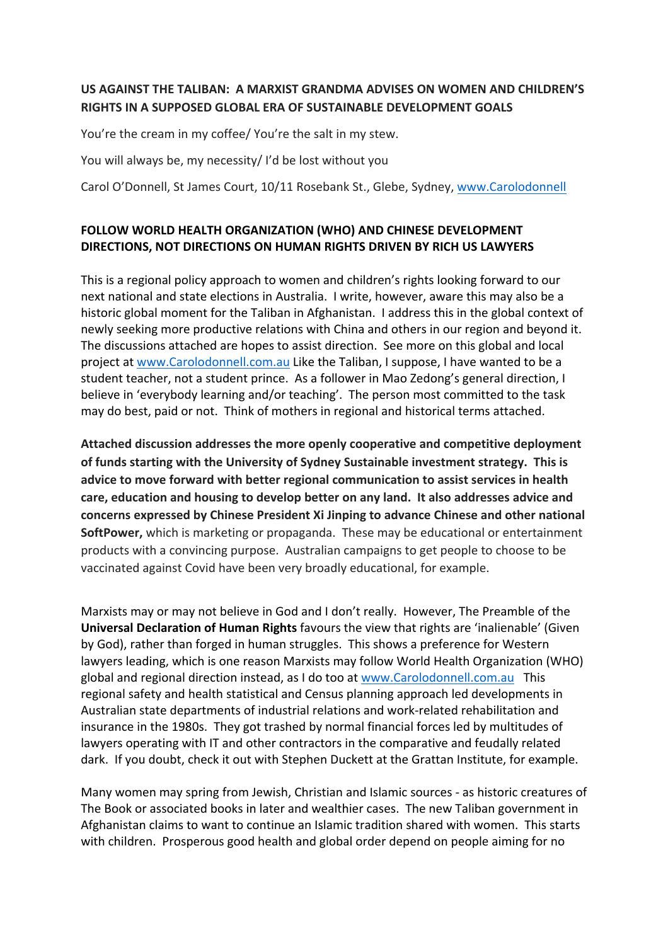## **US AGAINST THE TALIBAN: A MARXIST GRANDMA ADVISES ON WOMEN AND CHILDREN'S RIGHTS IN A SUPPOSED GLOBAL ERA OF SUSTAINABLE DEVELOPMENT GOALS**

You're the cream in my coffee/ You're the salt in my stew.

You will always be, my necessity/ I'd be lost without you

Carol O'Donnell, St James Court, 10/11 Rosebank St., Glebe, Sydney, www.Carolodonnell

## **FOLLOW WORLD HEALTH ORGANIZATION (WHO) AND CHINESE DEVELOPMENT DIRECTIONS, NOT DIRECTIONS ON HUMAN RIGHTS DRIVEN BY RICH US LAWYERS**

This is a regional policy approach to women and children's rights looking forward to our next national and state elections in Australia. I write, however, aware this may also be a historic global moment for the Taliban in Afghanistan. I address this in the global context of newly seeking more productive relations with China and others in our region and beyond it. The discussions attached are hopes to assist direction. See more on this global and local project at www.Carolodonnell.com.au Like the Taliban, I suppose, I have wanted to be a student teacher, not a student prince. As a follower in Mao Zedong's general direction, I believe in 'everybody learning and/or teaching'. The person most committed to the task may do best, paid or not. Think of mothers in regional and historical terms attached.

**Attached discussion addresses the more openly cooperative and competitive deployment of funds starting with the University of Sydney Sustainable investment strategy. This is advice to move forward with better regional communication to assist services in health care, education and housing to develop better on any land. It also addresses advice and concerns expressed by Chinese President Xi Jinping to advance Chinese and other national SoftPower,** which is marketing or propaganda. These may be educational or entertainment products with a convincing purpose. Australian campaigns to get people to choose to be vaccinated against Covid have been very broadly educational, for example.

Marxists may or may not believe in God and I don't really. However, The Preamble of the **Universal Declaration of Human Rights** favours the view that rights are 'inalienable' (Given by God), rather than forged in human struggles. This shows a preference for Western lawyers leading, which is one reason Marxists may follow World Health Organization (WHO) global and regional direction instead, as I do too at www.Carolodonnell.com.au This regional safety and health statistical and Census planning approach led developments in Australian state departments of industrial relations and work-related rehabilitation and insurance in the 1980s. They got trashed by normal financial forces led by multitudes of lawyers operating with IT and other contractors in the comparative and feudally related dark. If you doubt, check it out with Stephen Duckett at the Grattan Institute, for example.

Many women may spring from Jewish, Christian and Islamic sources - as historic creatures of The Book or associated books in later and wealthier cases. The new Taliban government in Afghanistan claims to want to continue an Islamic tradition shared with women. This starts with children. Prosperous good health and global order depend on people aiming for no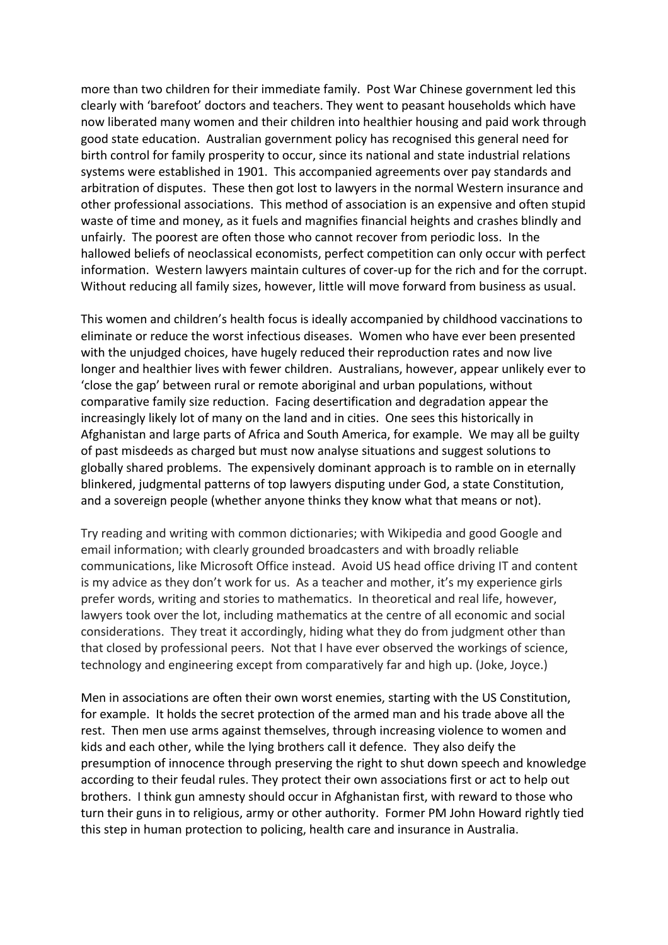more than two children for their immediate family. Post War Chinese government led this clearly with 'barefoot' doctors and teachers. They went to peasant households which have now liberated many women and their children into healthier housing and paid work through good state education. Australian government policy has recognised this general need for birth control for family prosperity to occur, since its national and state industrial relations systems were established in 1901. This accompanied agreements over pay standards and arbitration of disputes. These then got lost to lawyers in the normal Western insurance and other professional associations. This method of association is an expensive and often stupid waste of time and money, as it fuels and magnifies financial heights and crashes blindly and unfairly. The poorest are often those who cannot recover from periodic loss. In the hallowed beliefs of neoclassical economists, perfect competition can only occur with perfect information. Western lawyers maintain cultures of cover-up for the rich and for the corrupt. Without reducing all family sizes, however, little will move forward from business as usual.

This women and children's health focus is ideally accompanied by childhood vaccinations to eliminate or reduce the worst infectious diseases. Women who have ever been presented with the unjudged choices, have hugely reduced their reproduction rates and now live longer and healthier lives with fewer children. Australians, however, appear unlikely ever to 'close the gap' between rural or remote aboriginal and urban populations, without comparative family size reduction. Facing desertification and degradation appear the increasingly likely lot of many on the land and in cities. One sees this historically in Afghanistan and large parts of Africa and South America, for example. We may all be guilty of past misdeeds as charged but must now analyse situations and suggest solutions to globally shared problems. The expensively dominant approach is to ramble on in eternally blinkered, judgmental patterns of top lawyers disputing under God, a state Constitution, and a sovereign people (whether anyone thinks they know what that means or not).

Try reading and writing with common dictionaries; with Wikipedia and good Google and email information; with clearly grounded broadcasters and with broadly reliable communications, like Microsoft Office instead. Avoid US head office driving IT and content is my advice as they don't work for us. As a teacher and mother, it's my experience girls prefer words, writing and stories to mathematics. In theoretical and real life, however, lawyers took over the lot, including mathematics at the centre of all economic and social considerations. They treat it accordingly, hiding what they do from judgment other than that closed by professional peers. Not that I have ever observed the workings of science, technology and engineering except from comparatively far and high up. (Joke, Joyce.)

Men in associations are often their own worst enemies, starting with the US Constitution, for example. It holds the secret protection of the armed man and his trade above all the rest. Then men use arms against themselves, through increasing violence to women and kids and each other, while the lying brothers call it defence. They also deify the presumption of innocence through preserving the right to shut down speech and knowledge according to their feudal rules. They protect their own associations first or act to help out brothers. I think gun amnesty should occur in Afghanistan first, with reward to those who turn their guns in to religious, army or other authority. Former PM John Howard rightly tied this step in human protection to policing, health care and insurance in Australia.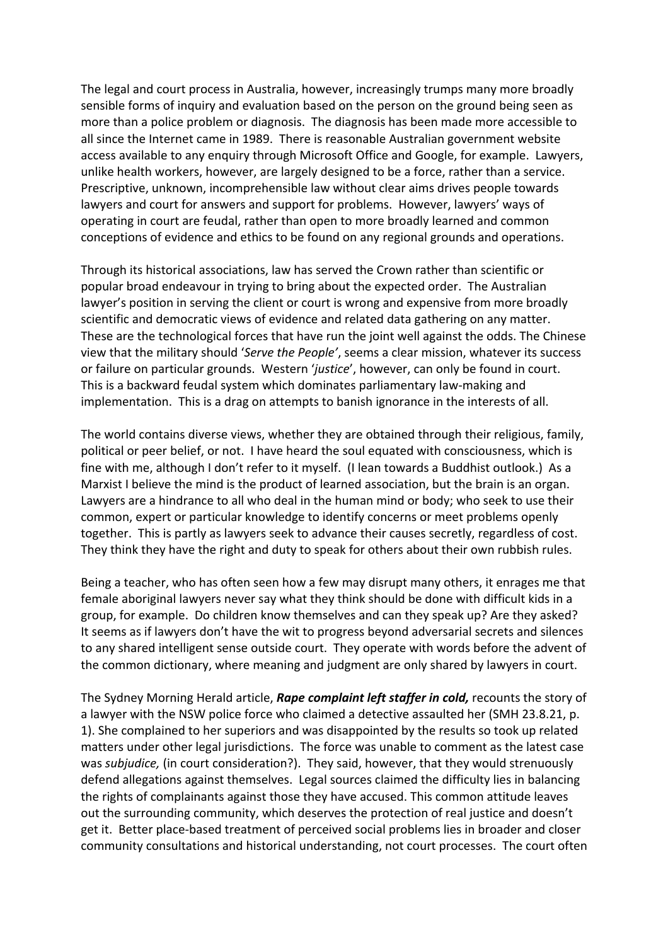The legal and court process in Australia, however, increasingly trumps many more broadly sensible forms of inquiry and evaluation based on the person on the ground being seen as more than a police problem or diagnosis. The diagnosis has been made more accessible to all since the Internet came in 1989. There is reasonable Australian government website access available to any enquiry through Microsoft Office and Google, for example. Lawyers, unlike health workers, however, are largely designed to be a force, rather than a service. Prescriptive, unknown, incomprehensible law without clear aims drives people towards lawyers and court for answers and support for problems. However, lawyers' ways of operating in court are feudal, rather than open to more broadly learned and common conceptions of evidence and ethics to be found on any regional grounds and operations.

Through its historical associations, law has served the Crown rather than scientific or popular broad endeavour in trying to bring about the expected order. The Australian lawyer's position in serving the client or court is wrong and expensive from more broadly scientific and democratic views of evidence and related data gathering on any matter. These are the technological forces that have run the joint well against the odds. The Chinese view that the military should '*Serve the People'*, seems a clear mission, whatever its success or failure on particular grounds. Western '*justice*', however, can only be found in court. This is a backward feudal system which dominates parliamentary law-making and implementation. This is a drag on attempts to banish ignorance in the interests of all.

The world contains diverse views, whether they are obtained through their religious, family, political or peer belief, or not. I have heard the soul equated with consciousness, which is fine with me, although I don't refer to it myself. (I lean towards a Buddhist outlook.) As a Marxist I believe the mind is the product of learned association, but the brain is an organ. Lawyers are a hindrance to all who deal in the human mind or body; who seek to use their common, expert or particular knowledge to identify concerns or meet problems openly together. This is partly as lawyers seek to advance their causes secretly, regardless of cost. They think they have the right and duty to speak for others about their own rubbish rules.

Being a teacher, who has often seen how a few may disrupt many others, it enrages me that female aboriginal lawyers never say what they think should be done with difficult kids in a group, for example. Do children know themselves and can they speak up? Are they asked? It seems as if lawyers don't have the wit to progress beyond adversarial secrets and silences to any shared intelligent sense outside court. They operate with words before the advent of the common dictionary, where meaning and judgment are only shared by lawyers in court.

The Sydney Morning Herald article, *Rape complaint left staffer in cold,* recounts the story of a lawyer with the NSW police force who claimed a detective assaulted her (SMH 23.8.21, p. 1). She complained to her superiors and was disappointed by the results so took up related matters under other legal jurisdictions. The force was unable to comment as the latest case was *subjudice,* (in court consideration?). They said, however, that they would strenuously defend allegations against themselves. Legal sources claimed the difficulty lies in balancing the rights of complainants against those they have accused. This common attitude leaves out the surrounding community, which deserves the protection of real justice and doesn't get it. Better place-based treatment of perceived social problems lies in broader and closer community consultations and historical understanding, not court processes. The court often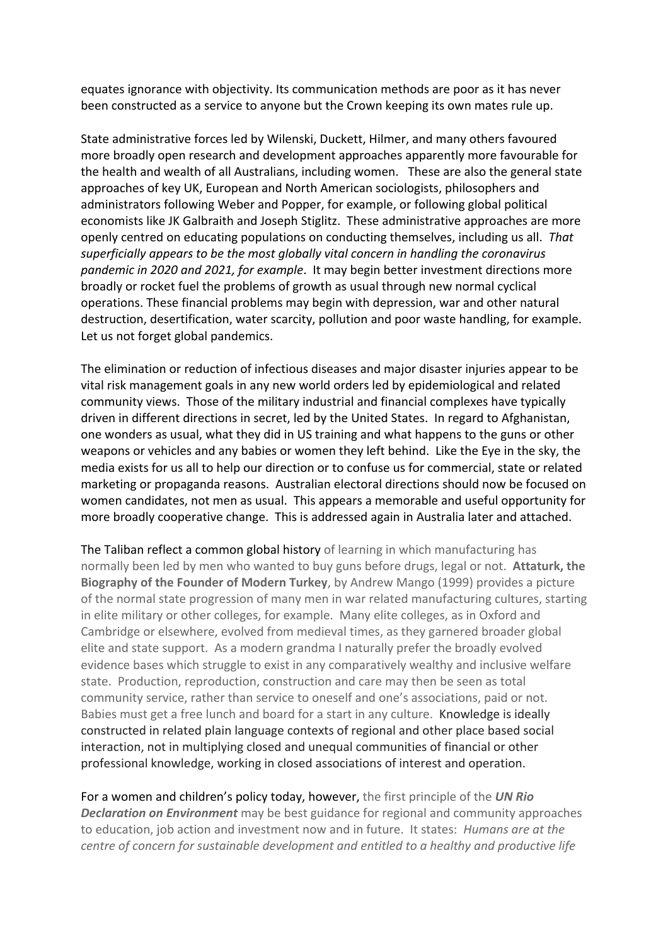equates ignorance with objectivity. Its communication methods are poor as it has never been constructed as a service to anyone but the Crown keeping its own mates rule up.

State administrative forces led by Wilenski, Duckett, Hilmer, and many others favoured more broadly open research and development approaches apparently more favourable for the health and wealth of all Australians, including women. These are also the general state approaches of key UK, European and North American sociologists, philosophers and administrators following Weber and Popper, for example, or following global political economists like JK Galbraith and Joseph Stiglitz. These administrative approaches are more openly centred on educating populations on conducting themselves, including us all. *That superficially appears to be the most globally vital concern in handling the coronavirus pandemic in 2020 and 2021, for example*. It may begin better investment directions more broadly or rocket fuel the problems of growth as usual through new normal cyclical operations. These financial problems may begin with depression, war and other natural destruction, desertification, water scarcity, pollution and poor waste handling, for example. Let us not forget global pandemics.

The elimination or reduction of infectious diseases and major disaster injuries appear to be vital risk management goals in any new world orders led by epidemiological and related community views. Those of the military industrial and financial complexes have typically driven in different directions in secret, led by the United States. In regard to Afghanistan, one wonders as usual, what they did in US training and what happens to the guns or other weapons or vehicles and any babies or women they left behind. Like the Eye in the sky, the media exists for us all to help our direction or to confuse us for commercial, state or related marketing or propaganda reasons. Australian electoral directions should now be focused on women candidates, not men as usual. This appears a memorable and useful opportunity for more broadly cooperative change. This is addressed again in Australia later and attached.

The Taliban reflect a common global history of learning in which manufacturing has normally been led by men who wanted to buy guns before drugs, legal or not. **Attaturk, the Biography of the Founder of Modern Turkey**, by Andrew Mango (1999) provides a picture of the normal state progression of many men in war related manufacturing cultures, starting in elite military or other colleges, for example. Many elite colleges, as in Oxford and Cambridge or elsewhere, evolved from medieval times, as they garnered broader global elite and state support. As a modern grandma I naturally prefer the broadly evolved evidence bases which struggle to exist in any comparatively wealthy and inclusive welfare state. Production, reproduction, construction and care may then be seen as total community service, rather than service to oneself and one's associations, paid or not. Babies must get a free lunch and board for a start in any culture. Knowledge is ideally constructed in related plain language contexts of regional and other place based social interaction, not in multiplying closed and unequal communities of financial or other professional knowledge, working in closed associations of interest and operation.

For a women and children's policy today, however, the first principle of the *UN Rio Declaration on Environment* may be best guidance for regional and community approaches to education, job action and investment now and in future. It states: *Humans are at the centre of concern for sustainable development and entitled to a healthy and productive life*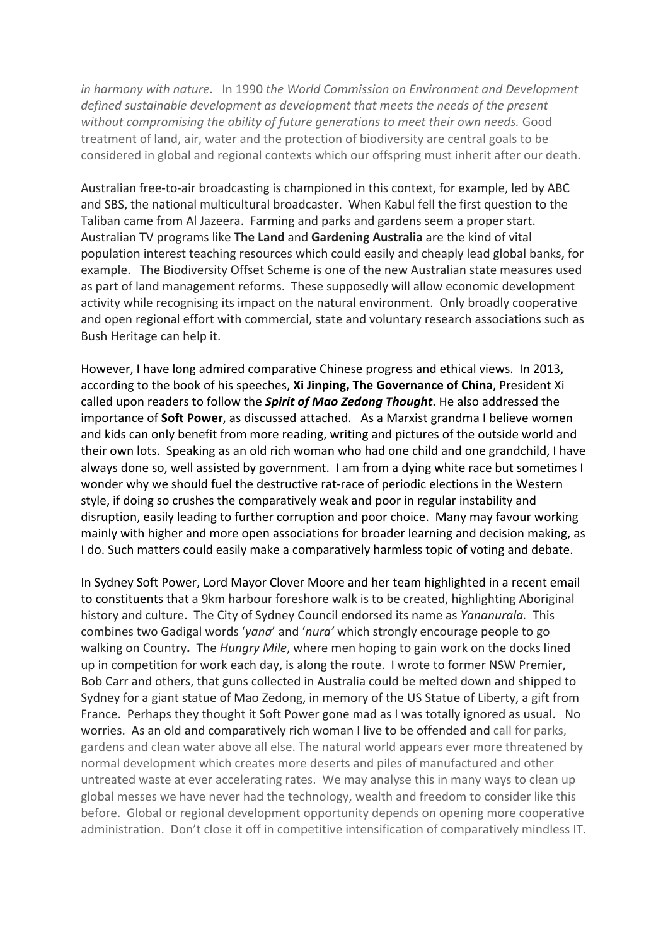*in harmony with nature*. In 1990 *the World Commission on Environment and Development defined sustainable development as development that meets the needs of the present without compromising the ability of future generations to meet their own needs.* Good treatment of land, air, water and the protection of biodiversity are central goals to be considered in global and regional contexts which our offspring must inherit after our death.

Australian free-to-air broadcasting is championed in this context, for example, led by ABC and SBS, the national multicultural broadcaster. When Kabul fell the first question to the Taliban came from Al Jazeera. Farming and parks and gardens seem a proper start. Australian TV programs like **The Land** and **Gardening Australia** are the kind of vital population interest teaching resources which could easily and cheaply lead global banks, for example. The Biodiversity Offset Scheme is one of the new Australian state measures used as part of land management reforms. These supposedly will allow economic development activity while recognising its impact on the natural environment. Only broadly cooperative and open regional effort with commercial, state and voluntary research associations such as Bush Heritage can help it.

However, I have long admired comparative Chinese progress and ethical views. In 2013, according to the book of his speeches, **Xi Jinping, The Governance of China**, President Xi called upon readers to follow the *Spirit of Mao Zedong Thought*. He also addressed the importance of **Soft Power**, as discussed attached. As a Marxist grandma I believe women and kids can only benefit from more reading, writing and pictures of the outside world and their own lots. Speaking as an old rich woman who had one child and one grandchild, I have always done so, well assisted by government. I am from a dying white race but sometimes I wonder why we should fuel the destructive rat-race of periodic elections in the Western style, if doing so crushes the comparatively weak and poor in regular instability and disruption, easily leading to further corruption and poor choice. Many may favour working mainly with higher and more open associations for broader learning and decision making, as I do. Such matters could easily make a comparatively harmless topic of voting and debate.

In Sydney Soft Power, Lord Mayor Clover Moore and her team highlighted in a recent email to constituents that a 9km harbour foreshore walk is to be created, highlighting Aboriginal history and culture. The City of Sydney Council endorsed its name as *Yananurala.* This combines two Gadigal words '*yana*' and '*nura'* which strongly encourage people to go walking on Country**. T**he *Hungry Mile*, where men hoping to gain work on the docks lined up in competition for work each day, is along the route. I wrote to former NSW Premier, Bob Carr and others, that guns collected in Australia could be melted down and shipped to Sydney for a giant statue of Mao Zedong, in memory of the US Statue of Liberty, a gift from France. Perhaps they thought it Soft Power gone mad as I was totally ignored as usual. No worries. As an old and comparatively rich woman I live to be offended and call for parks, gardens and clean water above all else. The natural world appears ever more threatened by normal development which creates more deserts and piles of manufactured and other untreated waste at ever accelerating rates. We may analyse this in many ways to clean up global messes we have never had the technology, wealth and freedom to consider like this before. Global or regional development opportunity depends on opening more cooperative administration. Don't close it off in competitive intensification of comparatively mindless IT.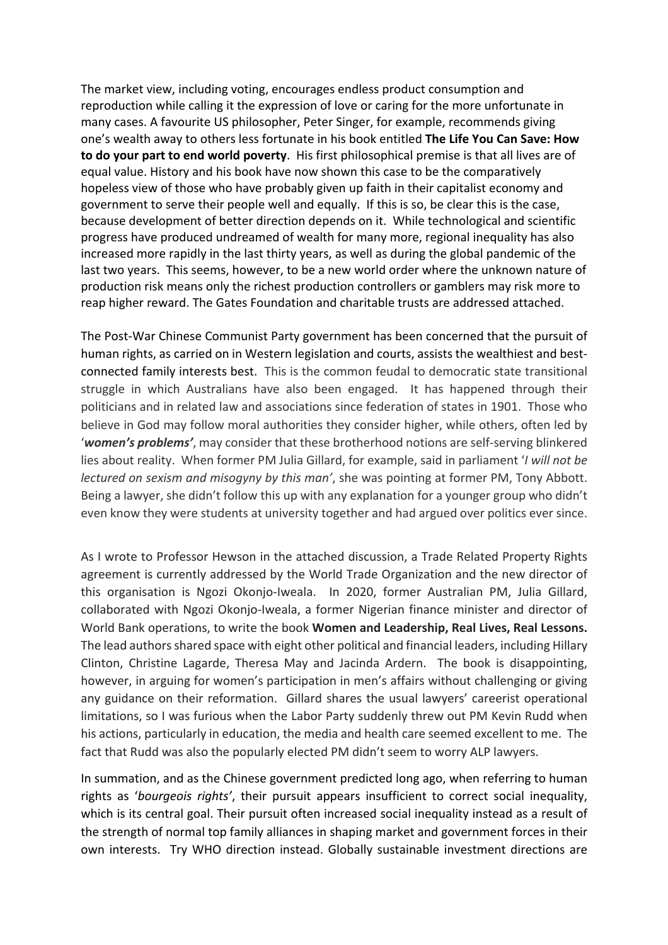The market view, including voting, encourages endless product consumption and reproduction while calling it the expression of love or caring for the more unfortunate in many cases. A favourite US philosopher, Peter Singer, for example, recommends giving one's wealth away to others less fortunate in his book entitled **The Life You Can Save: How to do your part to end world poverty**. His first philosophical premise is that all lives are of equal value. History and his book have now shown this case to be the comparatively hopeless view of those who have probably given up faith in their capitalist economy and government to serve their people well and equally. If this is so, be clear this is the case, because development of better direction depends on it. While technological and scientific progress have produced undreamed of wealth for many more, regional inequality has also increased more rapidly in the last thirty years, as well as during the global pandemic of the last two years. This seems, however, to be a new world order where the unknown nature of production risk means only the richest production controllers or gamblers may risk more to reap higher reward. The Gates Foundation and charitable trusts are addressed attached.

The Post-War Chinese Communist Party government has been concerned that the pursuit of human rights, as carried on in Western legislation and courts, assists the wealthiest and bestconnected family interests best. This is the common feudal to democratic state transitional struggle in which Australians have also been engaged. It has happened through their politicians and in related law and associations since federation of states in 1901. Those who believe in God may follow moral authorities they consider higher, while others, often led by '*women's problems'*, may consider that these brotherhood notions are self-serving blinkered lies about reality. When former PM Julia Gillard, for example, said in parliament '*I will not be lectured on sexism and misogyny by this man'*, she was pointing at former PM, Tony Abbott. Being a lawyer, she didn't follow this up with any explanation for a younger group who didn't even know they were students at university together and had argued over politics ever since.

As I wrote to Professor Hewson in the attached discussion, a Trade Related Property Rights agreement is currently addressed by the World Trade Organization and the new director of this organisation is Ngozi Okonjo-Iweala. In 2020, former Australian PM, Julia Gillard, collaborated with Ngozi Okonjo-Iweala, a former Nigerian finance minister and director of World Bank operations, to write the book **Women and Leadership, Real Lives, Real Lessons.**  The lead authors shared space with eight other political and financial leaders, including Hillary Clinton, Christine Lagarde, Theresa May and Jacinda Ardern. The book is disappointing, however, in arguing for women's participation in men's affairs without challenging or giving any guidance on their reformation. Gillard shares the usual lawyers' careerist operational limitations, so I was furious when the Labor Party suddenly threw out PM Kevin Rudd when his actions, particularly in education, the media and health care seemed excellent to me. The fact that Rudd was also the popularly elected PM didn't seem to worry ALP lawyers.

In summation, and as the Chinese government predicted long ago, when referring to human rights as '*bourgeois rights'*, their pursuit appears insufficient to correct social inequality, which is its central goal. Their pursuit often increased social inequality instead as a result of the strength of normal top family alliances in shaping market and government forces in their own interests. Try WHO direction instead. Globally sustainable investment directions are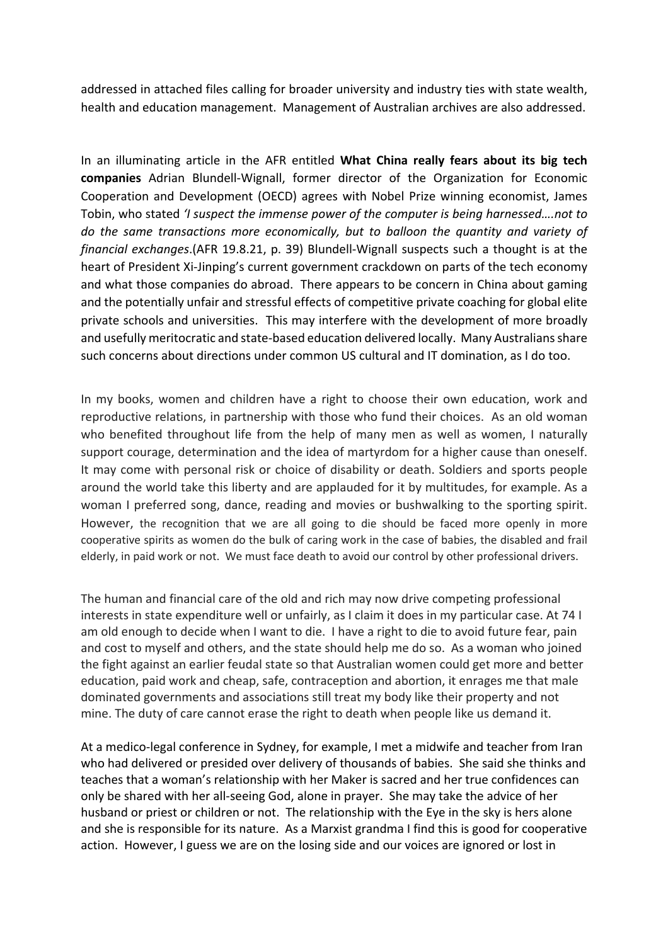addressed in attached files calling for broader university and industry ties with state wealth, health and education management. Management of Australian archives are also addressed.

In an illuminating article in the AFR entitled **What China really fears about its big tech companies** Adrian Blundell-Wignall, former director of the Organization for Economic Cooperation and Development (OECD) agrees with Nobel Prize winning economist, James Tobin, who stated *'I suspect the immense power of the computer is being harnessed….not to do the same transactions more economically, but to balloon the quantity and variety of financial exchanges*.(AFR 19.8.21, p. 39) Blundell-Wignall suspects such a thought is at the heart of President Xi-Jinping's current government crackdown on parts of the tech economy and what those companies do abroad. There appears to be concern in China about gaming and the potentially unfair and stressful effects of competitive private coaching for global elite private schools and universities. This may interfere with the development of more broadly and usefully meritocratic and state-based education delivered locally. Many Australians share such concerns about directions under common US cultural and IT domination, as I do too.

In my books, women and children have a right to choose their own education, work and reproductive relations, in partnership with those who fund their choices. As an old woman who benefited throughout life from the help of many men as well as women, I naturally support courage, determination and the idea of martyrdom for a higher cause than oneself. It may come with personal risk or choice of disability or death. Soldiers and sports people around the world take this liberty and are applauded for it by multitudes, for example. As a woman I preferred song, dance, reading and movies or bushwalking to the sporting spirit. However, the recognition that we are all going to die should be faced more openly in more cooperative spirits as women do the bulk of caring work in the case of babies, the disabled and frail elderly, in paid work or not. We must face death to avoid our control by other professional drivers.

The human and financial care of the old and rich may now drive competing professional interests in state expenditure well or unfairly, as I claim it does in my particular case. At 74 I am old enough to decide when I want to die. I have a right to die to avoid future fear, pain and cost to myself and others, and the state should help me do so. As a woman who joined the fight against an earlier feudal state so that Australian women could get more and better education, paid work and cheap, safe, contraception and abortion, it enrages me that male dominated governments and associations still treat my body like their property and not mine. The duty of care cannot erase the right to death when people like us demand it.

At a medico-legal conference in Sydney, for example, I met a midwife and teacher from Iran who had delivered or presided over delivery of thousands of babies. She said she thinks and teaches that a woman's relationship with her Maker is sacred and her true confidences can only be shared with her all-seeing God, alone in prayer. She may take the advice of her husband or priest or children or not. The relationship with the Eye in the sky is hers alone and she is responsible for its nature. As a Marxist grandma I find this is good for cooperative action. However, I guess we are on the losing side and our voices are ignored or lost in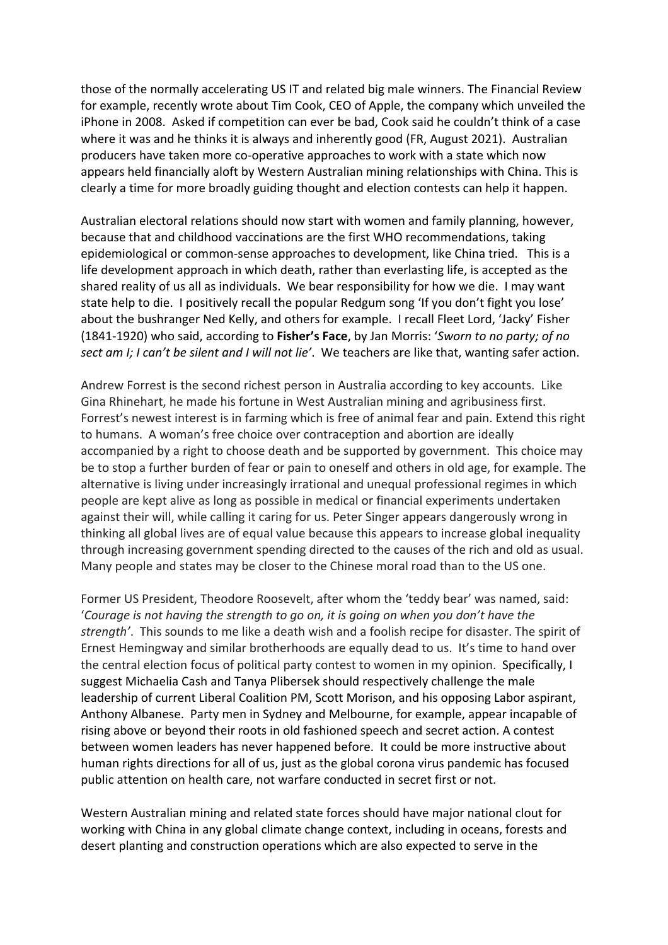those of the normally accelerating US IT and related big male winners. The Financial Review for example, recently wrote about Tim Cook, CEO of Apple, the company which unveiled the iPhone in 2008. Asked if competition can ever be bad, Cook said he couldn't think of a case where it was and he thinks it is always and inherently good (FR, August 2021). Australian producers have taken more co-operative approaches to work with a state which now appears held financially aloft by Western Australian mining relationships with China. This is clearly a time for more broadly guiding thought and election contests can help it happen.

Australian electoral relations should now start with women and family planning, however, because that and childhood vaccinations are the first WHO recommendations, taking epidemiological or common-sense approaches to development, like China tried. This is a life development approach in which death, rather than everlasting life, is accepted as the shared reality of us all as individuals. We bear responsibility for how we die. I may want state help to die. I positively recall the popular Redgum song 'If you don't fight you lose' about the bushranger Ned Kelly, and others for example. I recall Fleet Lord, 'Jacky' Fisher (1841-1920) who said, according to **Fisher's Face**, by Jan Morris: '*Sworn to no party; of no sect am I; I can't be silent and I will not lie'*. We teachers are like that, wanting safer action.

Andrew Forrest is the second richest person in Australia according to key accounts. Like Gina Rhinehart, he made his fortune in West Australian mining and agribusiness first. Forrest's newest interest is in farming which is free of animal fear and pain. Extend this right to humans. A woman's free choice over contraception and abortion are ideally accompanied by a right to choose death and be supported by government. This choice may be to stop a further burden of fear or pain to oneself and others in old age, for example. The alternative is living under increasingly irrational and unequal professional regimes in which people are kept alive as long as possible in medical or financial experiments undertaken against their will, while calling it caring for us. Peter Singer appears dangerously wrong in thinking all global lives are of equal value because this appears to increase global inequality through increasing government spending directed to the causes of the rich and old as usual. Many people and states may be closer to the Chinese moral road than to the US one.

Former US President, Theodore Roosevelt, after whom the 'teddy bear' was named, said: '*Courage is not having the strength to go on, it is going on when you don't have the strength'*. This sounds to me like a death wish and a foolish recipe for disaster. The spirit of Ernest Hemingway and similar brotherhoods are equally dead to us. It's time to hand over the central election focus of political party contest to women in my opinion. Specifically, I suggest Michaelia Cash and Tanya Plibersek should respectively challenge the male leadership of current Liberal Coalition PM, Scott Morison, and his opposing Labor aspirant, Anthony Albanese. Party men in Sydney and Melbourne, for example, appear incapable of rising above or beyond their roots in old fashioned speech and secret action. A contest between women leaders has never happened before. It could be more instructive about human rights directions for all of us, just as the global corona virus pandemic has focused public attention on health care, not warfare conducted in secret first or not.

Western Australian mining and related state forces should have major national clout for working with China in any global climate change context, including in oceans, forests and desert planting and construction operations which are also expected to serve in the